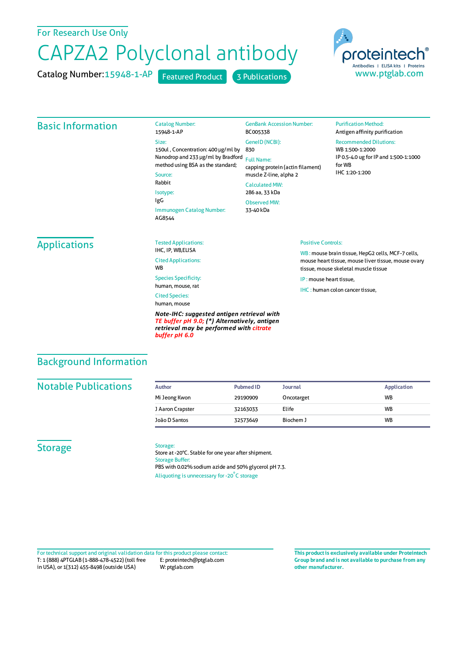## For Research Use Only

# CAPZA2 Polyclonal antibody

Catalog Number: 15948-1-AP Featured Product 3 Publications



### Basic Information

Catalog Number: 15948-1-AP Size: 150ul , Concentration: 400 μg/ml by 830 Nanodrop and 233 μg/ml by Bradford Full Name: method using BSA as the standard; Source: Rabbit Isotype: IgG Immunogen Catalog Number: BC005338 GeneID(NCBI): CalculatedMW: 286 aa, 33 kDa ObservedMW:

AG8544

## GenBank Accession Number:

## capping protein (actin filament) muscle Z-line, alpha 2

33-40 kDa

#### **Purification Method:** Antigen affinity purification

Recommended Dilutions:

WB 1:500-1:2000 IP 0.5-4.0 ug forIP and 1:500-1:1000 forWB IHC 1:20-1:200

## Applications

Tested Applications: IHC, IP, WB FLISA Cited Applications: **W<sub>R</sub>** Species Specificity: human, mouse, rat

Cited Species:

human, mouse

*Note-IHC: suggested antigen retrieval with TE buffer pH 9.0; (\*) Alternatively, antigen retrieval may be performed with citrate buffer pH 6.0*

#### Positive Controls:

WB : mouse brain tissue, HepG2 cells, MCF-7 cells, mouse heart tissue, mouse liver tissue, mouse ovary tissue, mouse skeletal muscle tissue

IP : mouse heart tissue,

IHC : human colon cancer tissue.

## Background Information

## **Notable Publications**

| Author           | <b>Pubmed ID</b> | <b>Journal</b> | <b>Application</b> |
|------------------|------------------|----------------|--------------------|
| Mi Jeong Kwon    | 29190909         | Oncotarget     | <b>WB</b>          |
| J Aaron Crapster | 32163033         | Elife          | <b>WB</b>          |
| João D Santos    | 32573649         | Biochem J      | <b>WB</b>          |

## **Storage**

#### Storage:

Store at -20°C. Stable for one year after shipment. Storage Buffer: PBS with 0.02% sodium azide and 50% glycerol pH 7.3. Aliquoting is unnecessary for -20<sup>°</sup>C storage

T: 1 (888) 4PTGLAB (1-888-478-4522) (toll free in USA), or 1(312) 455-8498 (outside USA) E: proteintech@ptglab.com W: ptglab.com Fortechnical support and original validation data forthis product please contact: **This productis exclusively available under Proteintech**

**Group brand and is not available to purchase from any other manufacturer.**